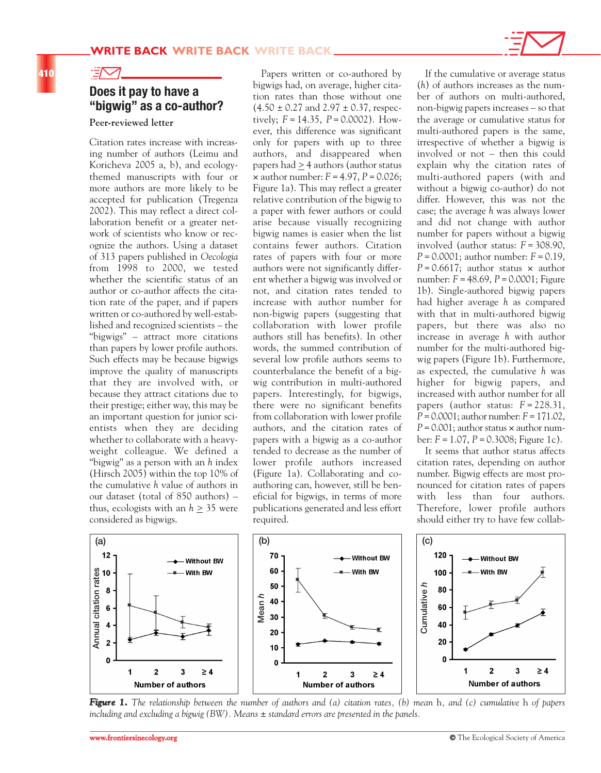## **410**

## **Does it pay to have a "bigwig" as a co-author?**

## **Peer-reviewed letter**

 $\exists\boxtimes$ 

Citation rates increase with increasing number of authors (Leimu and Koricheva 2005 a, b), and ecologythemed manuscripts with four or more authors are more likely to be accepted for publication (Tregenza 2002). This may reflect a direct collaboration benefit or a greater network of scientists who know or recognize the authors. Using a dataset of 313 papers published in *Oecologia* from 1998 to 2000, we tested whether the scientific status of an author or co-author affects the citation rate of the paper, and if papers written or co-authored by well-established and recognized scientists – the "bigwigs" – attract more citations than papers by lower profile authors. Such effects may be because bigwigs improve the quality of manuscripts that they are involved with, or because they attract citations due to their prestige; either way, this may be an important question for junior scientists when they are deciding whether to collaborate with a heavyweight colleague. We defined a "bigwig" as a person with an *h* index (Hirsch 2005) within the top 10% of the cumulative *h* value of authors in our dataset (total of 850 authors) – thus, ecologists with an *h* > 35 were considered as bigwigs.

Papers written or co-authored by bigwigs had, on average, higher citation rates than those without one  $(4.50 \pm 0.27 \text{ and } 2.97 \pm 0.37 \text{, respec-}$ tively;  $F = 14.35$ ,  $P = 0.0002$ ). However, this difference was significant only for papers with up to three authors, and disappeared when papers had > 4 authors (author status  $\times$  author number:  $F = 4.97$ ,  $P = 0.026$ ; Figure 1a). This may reflect a greater relative contribution of the bigwig to a paper with fewer authors or could arise because visually recognizing bigwig names is easier when the list contains fewer authors. Citation rates of papers with four or more authors were not significantly different whether a bigwig was involved or not, and citation rates tended to increase with author number for non-bigwig papers (suggesting that collaboration with lower profile authors still has benefits). In other words, the summed contribution of several low profile authors seems to counterbalance the benefit of a bigwig contribution in multi-authored papers. Interestingly, for bigwigs, there were no significant benefits from collaboration with lower profile authors, and the citation rates of papers with a bigwig as a co-author tended to decrease as the number of lower profile authors increased (Figure 1a). Collaborating and coauthoring can, however, still be beneficial for bigwigs, in terms of more publications generated and less effort required.

If the cumulative or average status (*h*) of authors increases as the number of authors on multi-authored, non-bigwig papers increases – so that the average or cumulative status for multi-authored papers is the same, irrespective of whether a bigwig is involved or not – then this could explain why the citation rates of multi-authored papers (with and without a bigwig co-author) do not differ. However, this was not the case; the average *h* was always lower and did not change with author number for papers without a bigwig involved (author status: *F*= 308.90, *P*= 0.0001; author number: *F*= 0.19,  $P = 0.6617$ ; author status  $\times$  author number: *F*= 48.69, *P*= 0.0001; Figure 1b). Single-authored bigwig papers had higher average *h* as compared with that in multi-authored bigwig papers, but there was also no increase in average *h* with author number for the multi-authored bigwig papers (Figure 1b). Furthermore, as expected, the cumulative *h* was higher for bigwig papers, and increased with author number for all papers (author status: *F* = 228.31, *P*= 0.0001; author number: *F*= 171.02,  $P = 0.001$ ; author status  $\times$  author number: *F*= 1.07, *P*= 0.3008; Figure 1c).

It seems that author status affects citation rates, depending on author number. Bigwig effects are most pronounced for citation rates of papers with less than four authors. Therefore, lower profile authors should either try to have few collab-



*Figure 1. The relationship between the number of authors and (a) citation rates, (b) mean h, and (c) cumulative h of papers including and excluding a bigwig (BW). Means ± standard errors are presented in the panels.*